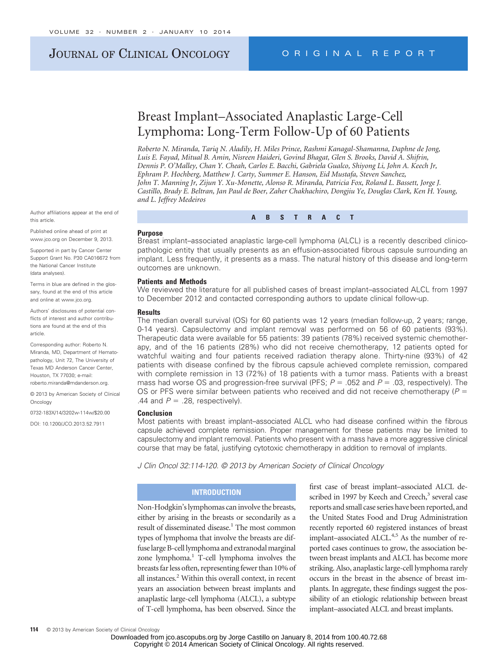# JOURNAL OF CLINICAL ONCOLOGY ORIGINAL REPORT

# Breast Implant–Associated Anaplastic Large-Cell Lymphoma: Long-Term Follow-Up of 60 Patients

*Roberto N. Miranda, Tariq N. Aladily, H. Miles Prince, Rashmi Kanagal-Shamanna, Daphne de Jong, Luis E. Fayad, Mitual B. Amin, Nisreen Haideri, Govind Bhagat, Glen S. Brooks, David A. Shifrin, Dennis P. O'Malley, Chan Y. Cheah, Carlos E. Bacchi, Gabriela Gualco, Shiyong Li, John A. Keech Jr, Ephram P. Hochberg, Matthew J. Carty, Summer E. Hanson, Eid Mustafa, Steven Sanchez, John T. Manning Jr, Zijun Y. Xu-Monette, Alonso R. Miranda, Patricia Fox, Roland L. Bassett, Jorge J. Castillo, Brady E. Beltran, Jan Paul de Boer, Zaher Chakhachiro, Dongjiu Ye, Douglas Clark, Ken H. Young, and L. Jeffrey Medeiros*

**ABSTRACT**

#### **Purpose**

Breast implant–associated anaplastic large-cell lymphoma (ALCL) is a recently described clinicopathologic entity that usually presents as an effusion-associated fibrous capsule surrounding an implant. Less frequently, it presents as a mass. The natural history of this disease and long-term outcomes are unknown.

#### **Patients and Methods**

We reviewed the literature for all published cases of breast implant–associated ALCL from 1997 to December 2012 and contacted corresponding authors to update clinical follow-up.

#### **Results**

The median overall survival (OS) for 60 patients was 12 years (median follow-up, 2 years; range, 0-14 years). Capsulectomy and implant removal was performed on 56 of 60 patients (93%). Therapeutic data were available for 55 patients: 39 patients (78%) received systemic chemotherapy, and of the 16 patients (28%) who did not receive chemotherapy, 12 patients opted for watchful waiting and four patients received radiation therapy alone. Thirty-nine (93%) of 42 patients with disease confined by the fibrous capsule achieved complete remission, compared with complete remission in 13 (72%) of 18 patients with a tumor mass. Patients with a breast mass had worse OS and progression-free survival (PFS;  $P = 0.052$  and  $P = 0.03$ , respectively). The OS or PFS were similar between patients who received and did not receive chemotherapy (*P* - .44 and  $P = .28$ , respectively).

#### **Conclusion**

Most patients with breast implant–associated ALCL who had disease confined within the fibrous capsule achieved complete remission. Proper management for these patients may be limited to capsulectomy and implant removal. Patients who present with a mass have a more aggressive clinical course that may be fatal, justifying cytotoxic chemotherapy in addition to removal of implants.

*J Clin Oncol 32:114-120. © 2013 by American Society of Clinical Oncology*

# **INTRODUCTION**

Non-Hodgkin's lymphomas can involve the breasts, either by arising in the breasts or secondarily as a result of disseminated disease.<sup>1</sup> The most common types of lymphoma that involve the breasts are diffuse large B-cell lymphoma and extranodal marginal zone lymphoma.<sup>1</sup> T-cell lymphoma involves the breasts far less often, representing fewer than 10% of all instances.<sup>2</sup> Within this overall context, in recent years an association between breast implants and anaplastic large-cell lymphoma (ALCL), a subtype of T-cell lymphoma, has been observed. Since the

first case of breast implant–associated ALCL described in 1997 by Keech and Creech, $3$  several case reports and small case series have been reported, and the United States Food and Drug Administration recently reported 60 registered instances of breast implant–associated ALCL.<sup>4,5</sup> As the number of reported cases continues to grow, the association between breast implants and ALCL has become more striking. Also, anaplastic large-cell lymphoma rarely occurs in the breast in the absence of breast implants. In aggregate, these findings suggest the possibility of an etiologic relationship between breast implant–associated ALCL and breast implants.

Author affiliations appear at the end of this article.

Published online ahead of print at www.jco.org on December 9, 2013.

Supported in part by Cancer Center Support Grant No. P30 CA016672 from the National Cancer Institute (data analyses).

Terms in blue are defined in the glossary, found at the end of this article and online at www.jco.org.

Authors' disclosures of potential conflicts of interest and author contributions are found at the end of this article.

Corresponding author: Roberto N. Miranda, MD, Department of Hematopathology, Unit 72, The University of Texas MD Anderson Cancer Center, Houston, TX 77030; e-mail: roberto.miranda@mdanderson.org.

© 2013 by American Society of Clinical Oncology

0732-183X/14/3202w-114w/\$20.00

DOI: 10.1200/JCO.2013.52.7911

Copyright © 2014 American Society of Clinical Oncology. All rights reserved.

Downloaded from jco.ascopubs.org by Jorge Castillo on January 8, 2014 from 100.40.72.68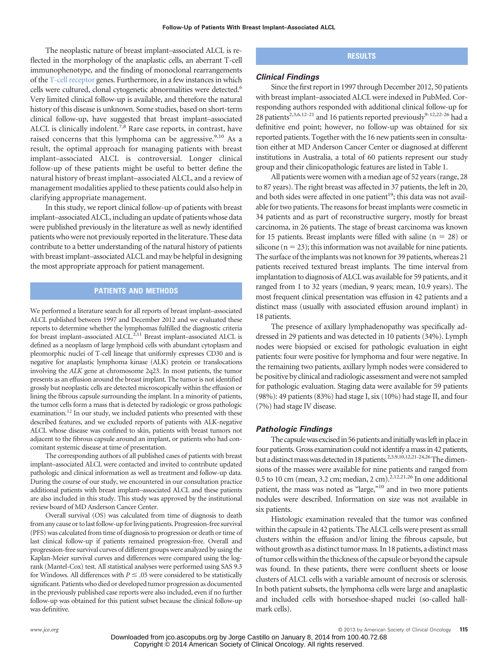The neoplastic nature of breast implant–associated ALCL is reflected in the morphology of the anaplastic cells, an aberrant T-cell immunophenotype, and the finding of monoclonal rearrangements of the T-cell receptor genes. Furthermore, in a few instances in which cells were cultured, clonal cytogenetic abnormalities were detected.<sup>6</sup> Very limited clinical follow-up is available, and therefore the natural history of this disease is unknown. Some studies, based on short-term clinical follow-up, have suggested that breast implant–associated ALCL is clinically indolent.<sup>7,8</sup> Rare case reports, in contrast, have raised concerns that this lymphoma can be aggressive.<sup>9,10</sup> As a result, the optimal approach for managing patients with breast implant–associated ALCL is controversial. Longer clinical follow-up of these patients might be useful to better define the natural history of breast implant–associated ALCL, and a review of management modalities applied to these patients could also help in clarifying appropriate management.

In this study, we report clinical follow-up of patients with breast implant–associated ALCL, including an update of patients whose data were published previously in the literature as well as newly identified patients who were not previously reported in the literature. These data contribute to a better understanding of the natural history of patients with breast implant–associated ALCL and may be helpful in designing the most appropriate approach for patient management.

# **PATIENTS AND METHODS**

We performed a literature search for all reports of breast implant–associated ALCL published between 1997 and December 2012 and we evaluated these reports to determine whether the lymphomas fulfilled the diagnostic criteria for breast implant–associated ALCL.<sup>2,11</sup> Breast implant–associated ALCL is defined as a neoplasm of large lymphoid cells with abundant cytoplasm and pleomorphic nuclei of T-cell lineage that uniformly expresses CD30 and is negative for anaplastic lymphoma kinase (ALK) protein or translocations involving the *ALK* gene at chromosome 2q23. In most patients, the tumor presents as an effusion around the breast implant. The tumor is not identified grossly but neoplastic cells are detected microscopically within the effusion or lining the fibrous capsule surrounding the implant. In a minority of patients, the tumor cells form a mass that is detected by radiologic or gross pathologic examination.<sup>12</sup> In our study, we included patients who presented with these described features, and we excluded reports of patients with ALK-negative ALCL whose disease was confined to skin, patients with breast tumors not adjacent to the fibrous capsule around an implant, or patients who had concomitant systemic disease at time of presentation.

The corresponding authors of all published cases of patients with breast implant–associated ALCL were contacted and invited to contribute updated pathologic and clinical information as well as treatment and follow-up data. During the course of our study, we encountered in our consultation practice additional patients with breast implant–associated ALCL and these patients are also included in this study. This study was approved by the institutional review board of MD Anderson Cancer Center.

Overall survival (OS) was calculated from time of diagnosis to death from any cause or to last follow-up for living patients. Progression-free survival (PFS) was calculated from time of diagnosis to progression or death or time of last clinical follow-up if patients remained progression-free. Overall and progression-free survival curves of different groups were analyzed by using the Kaplan-Meier survival curves and differences were compared using the logrank (Mantel-Cox) test. All statistical analyses were performed using SAS 9.3 for Windows. All differences with  $P \leq 0.05$  were considered to be statistically significant. Patients who died or developed tumor progression as documented in the previously published case reports were also included, even if no further follow-up was obtained for this patient subset because the clinical follow-up was definitive.

## **RESULTS**

### *Clinical Findings*

Since the first report in 1997 through December 2012, 50 patients with breast implant–associated ALCL were indexed in PubMed. Corresponding authors responded with additional clinical follow-up for 28 patients<sup>2,3,6,12-21</sup> and 16 patients reported previously<sup>9-12,22-26</sup> had a definitive end point; however, no follow-up was obtained for six reported patients. Together with the 16 new patients seen in consultation either at MD Anderson Cancer Center or diagnosed at different institutions in Australia, a total of 60 patients represent our study group and their clinicopathologic features are listed in Table 1.

All patients were women with a median age of 52 years (range, 28 to 87 years). The right breast was affected in 37 patients, the left in 20, and both sides were affected in one patient<sup>19</sup>; this data was not available for two patients. The reasons for breast implants were cosmetic in 34 patients and as part of reconstructive surgery, mostly for breast carcinoma, in 26 patients. The stage of breast carcinoma was known for 15 patients. Breast implants were filled with saline  $(n = 28)$  or silicone ( $n = 23$ ); this information was not available for nine patients. The surface of the implants was not known for 39 patients, whereas 21 patients received textured breast implants. The time interval from implantation to diagnosis of ALCL was available for 59 patients, and it ranged from 1 to 32 years (median, 9 years; mean, 10.9 years). The most frequent clinical presentation was effusion in 42 patients and a distinct mass (usually with associated effusion around implant) in 18 patients.

The presence of axillary lymphadenopathy was specifically addressed in 29 patients and was detected in 10 patients (34%). Lymph nodes were biopsied or excised for pathologic evaluation in eight patients: four were positive for lymphoma and four were negative. In the remaining two patients, axillary lymph nodes were considered to be positive by clinical and radiologic assessment and were not sampled for pathologic evaluation. Staging data were available for 59 patients (98%): 49 patients (83%) had stage I, six (10%) had stage II, and four (7%) had stage IV disease.

#### *Pathologic Findings*

The capsule was excised in 56 patients and initially was left in place in four patients. Gross examination could not identify a mass in 42 patients, but a distinct mass was detected in 18 patients.<sup>2,3,9,10,12,21-24,26</sup>The dimensions of the masses were available for nine patients and ranged from 0.5 to 10 cm (mean, 3.2 cm; median, 2 cm). $2,12,21,26$  In one additional patient, the mass was noted as "large,"<sup>10</sup> and in two more patients nodules were described. Information on size was not available in six patients.

Histologic examination revealed that the tumor was confined within the capsule in 42 patients. The ALCL cells were present as small clusters within the effusion and/or lining the fibrous capsule, but without growth as a distinct tumor mass. In 18 patients, a distinct mass of tumor cells within the thickness of the capsule or beyond the capsule was found. In these patients, there were confluent sheets or loose clusters of ALCL cells with a variable amount of necrosis or sclerosis. In both patient subsets, the lymphoma cells were large and anaplastic and included cells with horseshoe-shaped nuclei (so-called hallmark cells).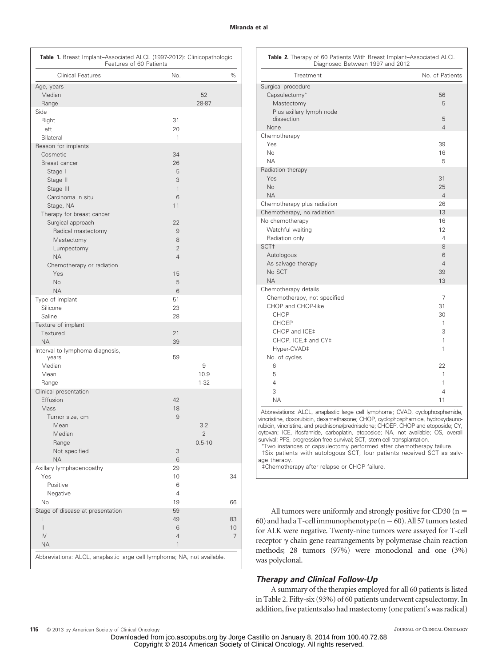#### **Miranda et al**

| Table 1. Breast Implant-Associated ALCL (1997-2012): Clinicopathologic                                                                                                                                                                                                                   | Features of 60 Patients |                                                                                                   |                        |               |
|------------------------------------------------------------------------------------------------------------------------------------------------------------------------------------------------------------------------------------------------------------------------------------------|-------------------------|---------------------------------------------------------------------------------------------------|------------------------|---------------|
| <b>Clinical Features</b>                                                                                                                                                                                                                                                                 |                         | No.                                                                                               |                        | %             |
| Age, years<br>Median<br>Range                                                                                                                                                                                                                                                            |                         |                                                                                                   | 52<br>28-87            |               |
| Side<br>Right<br>Left<br>Bilateral                                                                                                                                                                                                                                                       |                         | 31<br>20<br>1                                                                                     |                        |               |
| Reason for implants<br>Cosmetic<br>Breast cancer<br>Stage I<br>Stage II<br>Stage III<br>Carcinoma in situ<br>Stage, NA<br>Therapy for breast cancer<br>Surgical approach<br>Radical mastectomy<br>Mastectomy<br>Lumpectomy<br><b>NA</b><br>Chemotherapy or radiation<br>Yes<br><b>No</b> |                         | 34<br>26<br>5<br>3<br>1<br>6<br>11<br>22<br>9<br>8<br>$\overline{2}$<br>$\overline{4}$<br>15<br>5 |                        |               |
| <b>NA</b><br>Type of implant<br>Silicone<br>Saline                                                                                                                                                                                                                                       |                         | 6<br>51<br>23<br>28                                                                               |                        |               |
| Texture of implant<br>Textured<br><b>NA</b>                                                                                                                                                                                                                                              |                         | 21<br>39                                                                                          |                        |               |
| Interval to lymphoma diagnosis,<br>years<br>Median<br>Mean<br>Range                                                                                                                                                                                                                      |                         | 59                                                                                                | 9<br>10.9<br>$1 - 32$  |               |
| Clinical presentation<br>Effusion<br>Mass<br>Tumor size, cm<br>Mean<br>Median<br>Range<br>Not specified<br><b>NA</b>                                                                                                                                                                     |                         | 42<br>18<br>9<br>3<br>6                                                                           | 3.2<br>2<br>$0.5 - 10$ |               |
| Axillary lymphadenopathy<br>Yes<br>Positive<br>Negative<br>No                                                                                                                                                                                                                            |                         | 29<br>10<br>6<br>$\overline{4}$<br>19                                                             |                        | 34<br>66      |
| Stage of disease at presentation<br>L<br>11<br>IV<br><b>NA</b><br>Abbreviations: ALCL, anaplastic large cell lymphoma; NA, not available.                                                                                                                                                |                         | 59<br>49<br>6<br>$\overline{4}$<br>1                                                              |                        | 83<br>10<br>7 |

| <b>Table 2.</b> Therapy of 60 Patients With Breast Implant-Associated ALCL |  |  |  |  |
|----------------------------------------------------------------------------|--|--|--|--|
| Diagnosed Between 1997 and 2012                                            |  |  |  |  |

| Treatment                   | No. of Patients |
|-----------------------------|-----------------|
| Surgical procedure          |                 |
| Capsulectomy*               | 56              |
| Mastectomy                  | 5               |
| Plus axillary lymph node    |                 |
| dissection                  | 5               |
| None                        | $\overline{4}$  |
| Chemotherapy                |                 |
| Yes                         | 39              |
| <b>No</b>                   | 16              |
| <b>NA</b>                   | 5               |
| Radiation therapy<br>Yes    | 31              |
| <b>No</b>                   | 25              |
| <b>NA</b>                   | $\overline{4}$  |
| Chemotherapy plus radiation | 26              |
| Chemotherapy, no radiation  | 13              |
| No chemotherapy             | 16              |
| Watchful waiting            | 12              |
| Radiation only              | $\overline{4}$  |
| SCT <sup>+</sup>            | 8               |
| Autologous                  | 6               |
| As salvage therapy          | $\overline{4}$  |
| No SCT                      | 39              |
| <b>NA</b>                   | 13              |
| Chemotherapy details        |                 |
| Chemotherapy, not specified | 7               |
| CHOP and CHOP-like          | 31              |
| <b>CHOP</b>                 | 30              |
| CHOEP                       | 1               |
| CHOP and ICE‡               | 3               |
| CHOP, ICE, ‡ and CY ‡       | 1               |
| Hyper-CVAD‡                 | 1               |
| No. of cycles               |                 |
| 6                           | 22              |
| 5<br>$\overline{4}$         | 1<br>1          |
| 3                           | 4               |
| <b>NA</b>                   | 11              |
|                             |                 |

Abbreviations: ALCL, anaplastic large cell lymphoma; CVAD, cyclophosphamide, vincristine, doxorubicin, dexamethasone; CHOP, cyclophosphamide, hydroxydaunorubicin, vincristine, and prednisone/prednisolone; CHOEP, CHOP and etoposide; CY, cytoxan; ICE, ifosfamide, carboplatin, etoposide; NA, not available; OS, overall survival; PFS, progression-free survival; SCT, stem-cell transplantation.

- Two instances of capsulectomy performed after chemotherapy failure. †Six patients with autologous SCT; four patients received SCT as salvage therapy.

‡Chemotherapy after relapse or CHOP failure.

All tumors were uniformly and strongly positive for CD30  $(n =$ 60) and had a T-cell immunophenotype ( $n = 60$ ). All 57 tumors tested for ALK were negative. Twenty-nine tumors were assayed for T-cell receptor  $\gamma$  chain gene rearrangements by polymerase chain reaction methods; 28 tumors (97%) were monoclonal and one (3%) was polyclonal.

## *Therapy and Clinical Follow-Up*

A summary of the therapies employed for all 60 patients is listed in Table 2. Fifty-six (93%) of 60 patients underwent capsulectomy. In addition, five patients also had mastectomy (one patient's was radical)

Downloaded from jco.ascopubs.org by Jorge Castillo on January 8, 2014 from 100.40.72.68 Copyright © 2014 American Society of Clinical Oncology. All rights reserved.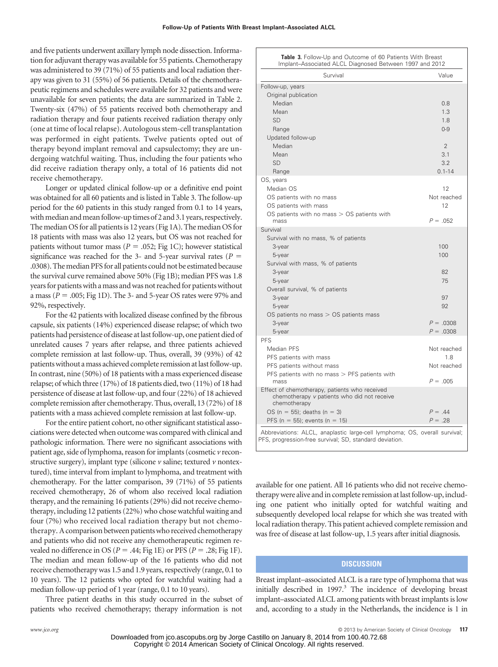and five patients underwent axillary lymph node dissection. Information for adjuvant therapy was available for 55 patients. Chemotherapy was administered to 39 (71%) of 55 patients and local radiation therapy was given to 31 (55%) of 56 patients. Details of the chemotherapeutic regimens and schedules were available for 32 patients and were unavailable for seven patients; the data are summarized in Table 2. Twenty-six (47%) of 55 patients received both chemotherapy and radiation therapy and four patients received radiation therapy only (one at time of local relapse). Autologous stem-cell transplantation was performed in eight patients. Twelve patients opted out of therapy beyond implant removal and capsulectomy; they are undergoing watchful waiting. Thus, including the four patients who did receive radiation therapy only, a total of 16 patients did not receive chemotherapy.

Longer or updated clinical follow-up or a definitive end point was obtained for all 60 patients and is listed in Table 3. The follow-up period for the 60 patients in this study ranged from 0.1 to 14 years, with median and mean follow-up times of 2 and 3.1 years, respectively. The median OS for all patients is 12 years (Fig 1A). The median OS for 18 patients with mass was also 12 years, but OS was not reached for patients without tumor mass ( $P = .052$ ; Fig 1C); however statistical significance was reached for the 3- and 5-year survival rates ( $P =$ .0308). The median PFS for all patients could not be estimated because the survival curve remained above 50% (Fig 1B); median PFS was 1.8 years for patients with a mass and was not reached for patients without a mass ( $P = 0.005$ ; Fig 1D). The 3- and 5-year OS rates were 97% and 92%, respectively.

For the 42 patients with localized disease confined by the fibrous capsule, six patients (14%) experienced disease relapse; of which two patients had persistence of disease at last follow-up, one patient died of unrelated causes 7 years after relapse, and three patients achieved complete remission at last follow-up. Thus, overall, 39 (93%) of 42 patients without a mass achieved complete remission at last follow-up. In contrast, nine (50%) of 18 patients with a mass experienced disease relapse; of which three (17%) of 18 patients died, two (11%) of 18 had persistence of disease at last follow-up, and four (22%) of 18 achieved complete remission after chemotherapy. Thus, overall, 13 (72%) of 18 patients with a mass achieved complete remission at last follow-up.

For the entire patient cohort, no other significant statistical associations were detected when outcome was compared with clinical and pathologic information. There were no significant associations with patient age, side of lymphoma, reason for implants (cosmetic *v* reconstructive surgery), implant type (silicone *v* saline; textured *v* nontextured), time interval from implant to lymphoma, and treatment with chemotherapy. For the latter comparison, 39 (71%) of 55 patients received chemotherapy, 26 of whom also received local radiation therapy, and the remaining 16 patients (29%) did not receive chemotherapy, including 12 patients (22%) who chose watchful waiting and four (7%) who received local radiation therapy but not chemotherapy. Acomparison between patients who received chemotherapy and patients who did not receive any chemotherapeutic regimen revealed no difference in OS ( $P = .44$ ; Fig 1E) or PFS ( $P = .28$ ; Fig 1F). The median and mean follow-up of the 16 patients who did not receive chemotherapy was 1.5 and 1.9 years, respectively (range, 0.1 to 10 years). The 12 patients who opted for watchful waiting had a median follow-up period of 1 year (range, 0.1 to 10 years).

Three patient deaths in this study occurred in the subset of patients who received chemotherapy; therapy information is not

| Table 3. Follow-Up and Outcome of 60 Patients With Breast |
|-----------------------------------------------------------|
| Implant-Associated ALCL Diagnosed Between 1997 and 2012   |

| Survival                                                                   | Value              |
|----------------------------------------------------------------------------|--------------------|
| Follow-up, years                                                           |                    |
| Original publication                                                       |                    |
| Median                                                                     | 0.8                |
| Mean                                                                       | 1.3                |
| <b>SD</b>                                                                  | 1.8                |
| Range                                                                      | $0 - 9$            |
| Updated follow-up                                                          |                    |
| Median                                                                     | $\overline{2}$     |
| Mean                                                                       | 3.1                |
| <b>SD</b>                                                                  | 3.2                |
| Range                                                                      | $0.1 - 14$         |
| OS, years                                                                  |                    |
| Median OS                                                                  | 12                 |
| OS patients with no mass                                                   | Not reached        |
| OS patients with mass                                                      | 12                 |
| OS patients with no mass $>$ OS patients with                              |                    |
| mass                                                                       | $P = .052$         |
| Survival                                                                   |                    |
| Survival with no mass, % of patients                                       |                    |
| 3-year                                                                     | 100                |
| 5-year                                                                     | 100                |
| Survival with mass, % of patients                                          |                    |
| 3-year                                                                     | 82                 |
| 5-year                                                                     | 75                 |
| Overall survival, % of patients                                            |                    |
| 3-year                                                                     | 97                 |
| 5-year                                                                     | 92                 |
| OS patients no mass $>$ OS patients mass                                   |                    |
| 3-year                                                                     | $P = .0308$        |
| 5-year<br><b>PFS</b>                                                       | $P = .0308$        |
| Median PFS                                                                 |                    |
| PFS patients with mass                                                     | Not reached<br>1.8 |
|                                                                            | Not reached        |
| PFS patients without mass                                                  |                    |
| PFS patients with no mass $>$ PFS patients with<br>mass                    | $P = .005$         |
| Effect of chemotherapy, patients who received                              |                    |
| chemotherapy v patients who did not receive<br>chemotherapy                |                    |
| OS ( $n = 55$ ); deaths ( $n = 3$ )                                        | $P = .44$          |
| PFS (n = 55); events (n = 15)                                              | $P = .28$          |
| Abbreviations: ALCL, anaplastic large-cell lymphoma; OS, overall survival; |                    |

PFS, progression-free survival; SD, standard deviation.

available for one patient. All 16 patients who did not receive chemotherapy were alive and in complete remission at last follow-up, including one patient who initially opted for watchful waiting and subsequently developed local relapse for which she was treated with local radiation therapy. This patient achieved complete remission and was free of disease at last follow-up, 1.5 years after initial diagnosis.

# **DISCUSSION**

Breast implant–associated ALCL is a rare type of lymphoma that was initially described in 1997.<sup>3</sup> The incidence of developing breast implant–associated ALCL among patients with breast implants is low and, according to a study in the Netherlands, the incidence is 1 in

Downloaded from jco.ascopubs.org by Jorge Castillo on January 8, 2014 from 100.40.72.68 Copyright © 2014 American Society of Clinical Oncology. All rights reserved.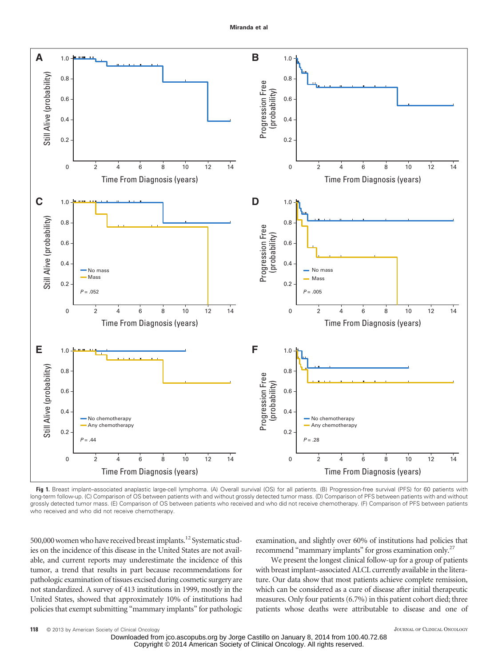

**Fig 1.** Breast implant–associated anaplastic large-cell lymphoma. (A) Overall survival (OS) for all patients. (B) Progression-free survival (PFS) for 60 patients with long-term follow-up. (C) Comparison of OS between patients with and without grossly detected tumor mass. (D) Comparison of PFS between patients with and without grossly detected tumor mass. (E) Comparison of OS between patients who received and who did not receive chemotherapy. (F) Comparison of PFS between patients who received and who did not receive chemotherapy.

500,000 women who have received breast implants.<sup>12</sup> Systematic studies on the incidence of this disease in the United States are not available, and current reports may underestimate the incidence of this tumor, a trend that results in part because recommendations for pathologic examination of tissues excised during cosmetic surgery are not standardized. A survey of 413 institutions in 1999, mostly in the United States, showed that approximately 10% of institutions had policies that exempt submitting "mammary implants" for pathologic examination, and slightly over 60% of institutions had policies that recommend "mammary implants" for gross examination only.<sup>27</sup>

We present the longest clinical follow-up for a group of patients with breast implant–associated ALCL currently available in the literature. Our data show that most patients achieve complete remission, which can be considered as a cure of disease after initial therapeutic measures. Only four patients (6.7%) in this patient cohort died; three patients whose deaths were attributable to disease and one of

Downloaded from jco.ascopubs.org by Jorge Castillo on January 8, 2014 from 100.40.72.68 Copyright © 2014 American Society of Clinical Oncology. All rights reserved.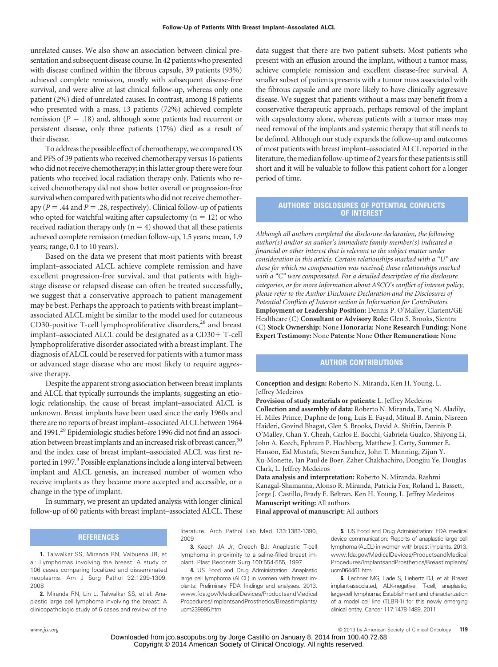unrelated causes. We also show an association between clinical presentation and subsequent disease course. In 42 patients who presented with disease confined within the fibrous capsule, 39 patients (93%) achieved complete remission, mostly with subsequent disease-free survival, and were alive at last clinical follow-up, whereas only one patient (2%) died of unrelated causes. In contrast, among 18 patients who presented with a mass, 13 patients (72%) achieved complete remission ( $P = .18$ ) and, although some patients had recurrent or persistent disease, only three patients (17%) died as a result of their disease.

To address the possible effect of chemotherapy, we compared OS and PFS of 39 patients who received chemotherapy versus 16 patients who did not receive chemotherapy; in this latter group there were four patients who received local radiation therapy only. Patients who received chemotherapy did not show better overall or progression-free survival when compared with patients who did not receive chemotherapy ( $P = .44$  and  $P = .28$ , respectively). Clinical follow-up of patients who opted for watchful waiting after capsulectomy  $(n = 12)$  or who received radiation therapy only  $(n = 4)$  showed that all these patients achieved complete remission (median follow-up, 1.5 years; mean, 1.9 years; range, 0.1 to 10 years).

Based on the data we present that most patients with breast implant–associated ALCL achieve complete remission and have excellent progression-free survival, and that patients with highstage disease or relapsed disease can often be treated successfully, we suggest that a conservative approach to patient management may be best. Perhaps the approach to patients with breast implant– associated ALCL might be similar to the model used for cutaneous CD30-positive T-cell lymphoproliferative disorders,<sup>28</sup> and breast implant–associated ALCL could be designated as a CD30+T-cell lymphoproliferative disorder associated with a breast implant. The diagnosis of ALCL could be reserved for patients with a tumor mass or advanced stage disease who are most likely to require aggressive therapy.

Despite the apparent strong association between breast implants and ALCL that typically surrounds the implants, suggesting an etiologic relationship, the cause of breast implant–associated ALCL is unknown. Breast implants have been used since the early 1960s and there are no reports of breast implant–associated ALCL between 1964 and 1991.<sup>29</sup> Epidemiologic studies before 1996 did not find an association between breast implants and an increased risk of breast cancer,<sup>30</sup> and the index case of breast implant–associated ALCL was first reported in 1997.<sup>3</sup> Possible explanations include a long interval between implant and ALCL genesis, an increased number of women who receive implants as they became more accepted and accessible, or a change in the type of implant.

In summary, we present an updated analysis with longer clinical follow-up of 60 patients with breast implant–associated ALCL. These

# **REFERENCES**

**1.** Talwalkar SS, Miranda RN, Valbuena JR, et al: Lymphomas involving the breast: A study of 106 cases comparing localized and disseminated neoplasms. Am J Surg Pathol 32:1299-1309, 2008

**2.** Miranda RN, Lin L, Talwalkar SS, et al: Anaplastic large cell lymphoma involving the breast: A clinicopathologic study of 6 cases and review of the data suggest that there are two patient subsets. Most patients who present with an effusion around the implant, without a tumor mass, achieve complete remission and excellent disease-free survival. A smaller subset of patients presents with a tumor mass associated with the fibrous capsule and are more likely to have clinically aggressive disease. We suggest that patients without a mass may benefit from a conservative therapeutic approach, perhaps removal of the implant with capsulectomy alone, whereas patients with a tumor mass may need removal of the implants and systemic therapy that still needs to be defined. Although our study expands the follow-up and outcomes of most patients with breast implant–associated ALCL reported in the literature, the median follow-up time of 2 years for these patients is still short and it will be valuable to follow this patient cohort for a longer period of time.

# **AUTHORS' DISCLOSURES OF POTENTIAL CONFLICTS OF INTEREST**

*Although all authors completed the disclosure declaration, the following author(s) and/or an author's immediate family member(s) indicated a financial or other interest that is relevant to the subject matter under consideration in this article. Certain relationships marked with a "U" are those for which no compensation was received; those relationships marked with a "C" were compensated. For a detailed description of the disclosure categories, or for more information about ASCO's conflict of interest policy, please refer to the Author Disclosure Declaration and the Disclosures of Potential Conflicts of Interest section in Information for Contributors.* **Employment or Leadership Position:** Dennis P. O'Malley, Clarient/GE Healthcare (C) **Consultant or Advisory Role:** Glen S. Brooks, Sientra (C) **Stock Ownership:** None **Honoraria:** None **Research Funding:** None **Expert Testimony:** None **Patents:** None **Other Remuneration:** None

# **AUTHOR CONTRIBUTIONS**

**Conception and design:** Roberto N. Miranda, Ken H. Young, L. Jeffrey Medeiros

**Provision of study materials or patients:** L. Jeffrey Medeiros **Collection and assembly of data:** Roberto N. Miranda, Tariq N. Aladily, H. Miles Prince, Daphne de Jong, Luis E. Fayad, Mitual B. Amin, Nisreen Haideri, Govind Bhagat, Glen S. Brooks, David A. Shifrin, Dennis P. O'Malley, Chan Y. Cheah, Carlos E. Bacchi, Gabriela Gualco, Shiyong Li, John A. Keech, Ephram P. Hochberg, Matthew J. Carty, Summer E. Hanson, Eid Mustafa, Steven Sanchez, John T. Manning, Zijun Y. Xu-Monette, Jan Paul de Boer, Zaher Chakhachiro, Dongjiu Ye, Douglas Clark, L. Jeffrey Medeiros

**Data analysis and interpretation:** Roberto N. Miranda, Rashmi Kanagal-Shamanna, Alonso R. Miranda, Patricia Fox, Roland L. Bassett, Jorge J. Castillo, Brady E. Beltran, Ken H. Young, L. Jeffrey Medeiros **Manuscript writing:** All authors

**Final approval of manuscript:** All authors

literature. Arch Pathol Lab Med 133:1383-1390, 2009 **3.** Keech JA Jr, Creech BJ: Anaplastic T-cell

lymphoma in proximity to a saline-filled breast implant. Plast Reconstr Surg 100:554-555, 1997

**4.** US Food and Drug Administration: Anaplastic large cell lymphoma (ALCL) in women with breast implants: Preliminary FDA findings and analyses. 2013. [www.fda.gov/MedicalDevices/ProductsandMedical](www.fda.gov/MedicalDevices/ProductsandMedicalProcedures/ImplantsandProsthetics/BreastImplants/ucm239995.htm) [Procedures/ImplantsandProsthetics/BreastImplants/](www.fda.gov/MedicalDevices/ProductsandMedicalProcedures/ImplantsandProsthetics/BreastImplants/ucm239995.htm) [ucm239995.htm](www.fda.gov/MedicalDevices/ProductsandMedicalProcedures/ImplantsandProsthetics/BreastImplants/ucm239995.htm)

**5.** US Food and Drug Administration: FDA medical device communication: Reports of anaplastic large cell lymphoma (ALCL) in women with breast implants. 2013. [www.fda.gov/MedicalDevices/ProductsandMedical](www.fda.gov/MedicalDevices/ProductsandMedicalProcedures/ImplantsandProsthetics/BreastImplants/ucm064461.htm) [Procedures/ImplantsandProsthetics/BreastImplants/](www.fda.gov/MedicalDevices/ProductsandMedicalProcedures/ImplantsandProsthetics/BreastImplants/ucm064461.htm) [ucm064461.htm](www.fda.gov/MedicalDevices/ProductsandMedicalProcedures/ImplantsandProsthetics/BreastImplants/ucm064461.htm)

**6.** Lechner MG, Lade S, Liebertz DJ, et al: Breast implant-associated, ALK-negative, T-cell, anaplastic, large-cell lymphoma: Establishment and characterization of a model cell line (TLBR-1) for this newly emerging clinical entity. Cancer 117:1478-1489, 2011